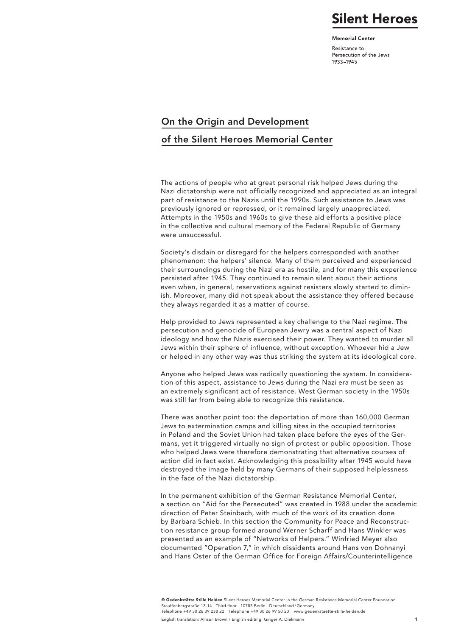### **Silent Heroes**

**Memorial Center** 

Resistance to Persecution of the Jews 1933-1945

#### On the Origin and Development

#### of the Silent Heroes Memorial Center

The actions of people who at great personal risk helped Jews during the Nazi dictatorship were not officially recognized and appreciated as an integral part of resistance to the Nazis until the 1990s. Such assistance to Jews was previously ignored or repressed, or it remained largely unappreciated. Attempts in the 1950s and 1960s to give these aid efforts a positive place in the collective and cultural memory of the Federal Republic of Germany were unsuccessful.

Society's disdain or disregard for the helpers corresponded with another phenomenon: the helpers' silence. Many of them perceived and experienced their surroundings during the Nazi era as hostile, and for many this experience persisted after 1945. They continued to remain silent about their actions even when, in general, reservations against resisters slowly started to diminish. Moreover, many did not speak about the assistance they offered because they always regarded it as a matter of course.

Help provided to Jews represented a key challenge to the Nazi regime. The persecution and genocide of European Jewry was a central aspect of Nazi ideology and how the Nazis exercised their power. They wanted to murder all Jews within their sphere of influence, without exception. Whoever hid a Jew or helped in any other way was thus striking the system at its ideological core.

Anyone who helped Jews was radically questioning the system. In consideration of this aspect, assistance to Jews during the Nazi era must be seen as an extremely significant act of resistance. West German society in the 1950s was still far from being able to recognize this resistance.

There was another point too: the deportation of more than 160,000 German Jews to extermination camps and killing sites in the occupied territories in Poland and the Soviet Union had taken place before the eyes of the Germans, yet it triggered virtually no sign of protest or public opposition. Those who helped Jews were therefore demonstrating that alternative courses of action did in fact exist. Acknowledging this possibility after 1945 would have destroyed the image held by many Germans of their supposed helplessness in the face of the Nazi dictatorship.

In the permanent exhibition of the German Resistance Memorial Center, a section on "Aid for the Persecuted" was created in 1988 under the academic direction of Peter Steinbach, with much of the work of its creation done by Barbara Schieb. In this section the Community for Peace and Reconstruction resistance group formed around Werner Scharff and Hans Winkler was presented as an example of "Networks of Helpers." Winfried Meyer also documented "Operation 7," in which dissidents around Hans von Dohnanyi and Hans Oster of the German Office for Foreign Affairs/Counterintelligence

© Gedenkstätte Stille Helden Silent Heroes Memorial Center in the German Resistance Memorial Center Foundation Stauffenbergstraße 13-14 Third floor 10785 Berlin Deutschland/German Telephone +49 30 26 39 238 22 Telephone +49 30 26 99 50 20 www.gedenkstaette-stille-helden.de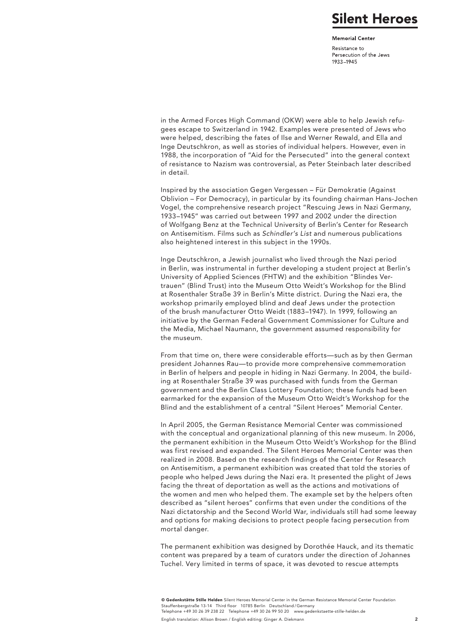## **Silent Heroes**

**Memorial Center** 

Resistance to Persecution of the Jews 1933-1945

in the Armed Forces High Command (OKW) were able to help Jewish refugees escape to Switzerland in 1942. Examples were presented of Jews who were helped, describing the fates of Ilse and Werner Rewald, and Ella and Inge Deutschkron, as well as stories of individual helpers. However, even in 1988, the incorporation of "Aid for the Persecuted" into the general context of resistance to Nazism was controversial, as Peter Steinbach later described in detail.

Inspired by the association Gegen Vergessen – Für Demokratie (Against Oblivion – For Democracy), in particular by its founding chairman Hans-Jochen Vogel, the comprehensive research project "Rescuing Jews in Nazi Germany, 1933–1945" was carried out between 1997 and 2002 under the direction of Wolfgang Benz at the Technical University of Berlin's Center for Research on Antisemitism. Films such as *Schindler's List* and numerous publications also heightened interest in this subject in the 1990s.

Inge Deutschkron, a Jewish journalist who lived through the Nazi period in Berlin, was instrumental in further developing a student project at Berlin's University of Applied Sciences (FHTW) and the exhibition "Blindes Vertrauen" (Blind Trust) into the Museum Otto Weidt's Workshop for the Blind at Rosenthaler Straße 39 in Berlin's Mitte district. During the Nazi era, the workshop primarily employed blind and deaf Jews under the protection of the brush manufacturer Otto Weidt (1883–1947). In 1999, following an initiative by the German Federal Government Commissioner for Culture and the Media, Michael Naumann, the government assumed responsibility for the museum.

From that time on, there were considerable efforts—such as by then German president Johannes Rau—to provide more comprehensive commemoration in Berlin of helpers and people in hiding in Nazi Germany. In 2004, the building at Rosenthaler Straße 39 was purchased with funds from the German government and the Berlin Class Lottery Foundation; these funds had been earmarked for the expansion of the Museum Otto Weidt's Workshop for the Blind and the establishment of a central "Silent Heroes" Memorial Center.

In April 2005, the German Resistance Memorial Center was commissioned with the conceptual and organizational planning of this new museum. In 2006, the permanent exhibition in the Museum Otto Weidt's Workshop for the Blind was first revised and expanded. The Silent Heroes Memorial Center was then realized in 2008. Based on the research findings of the Center for Research on Antisemitism, a permanent exhibition was created that told the stories of people who helped Jews during the Nazi era. It presented the plight of Jews facing the threat of deportation as well as the actions and motivations of the women and men who helped them. The example set by the helpers often described as "silent heroes" confirms that even under the conditions of the Nazi dictatorship and the Second World War, individuals still had some leeway and options for making decisions to protect people facing persecution from mortal danger.

The permanent exhibition was designed by Dorothée Hauck, and its thematic content was prepared by a team of curators under the direction of Johannes Tuchel. Very limited in terms of space, it was devoted to rescue attempts

© Gedenkstätte Stille Helden Silent Heroes Memorial Center in the German Resistance Memorial Center Foundation Stauffenbergstraße 13-14 Third floor 10785 Berlin Deutschland/German Telephone +49 30 26 39 238 22 Telephone +49 30 26 99 50 20 www.gedenkstaette-stille-helden.de